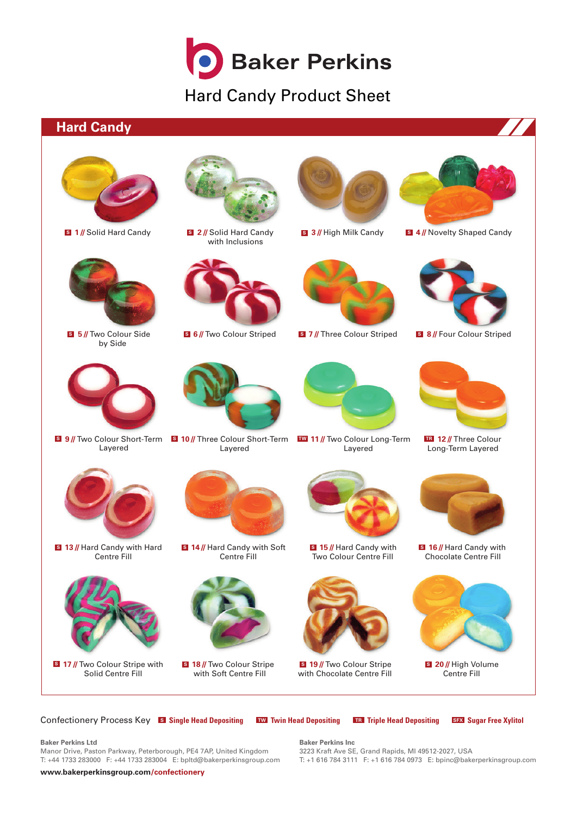

# Hard Candy Product Sheet

### **Hard Candy**





**17 //** Two Colour Stripe with **<sup>S</sup> 18 //** Two Colour Stripe Solid Centre Fill



with Inclusions



**<sup>S</sup> <sup>S</sup> 6 //** Two Colour Striped **<sup>S</sup> 7 //** Three Colour Striped **<sup>S</sup> 8 //** Four Colour Striped



Layered



Centre Fill



with Soft Centre Fill

Two Colour Centre Fill **S** 15 // Hard Candy with **S** 16 // Hard Candy with

Layered



**<sup>S</sup> 19 //** Two Colour Stripe **<sup>S</sup> 20 //** High Volume with Chocolate Centre Fill



**<sup>S</sup> <sup>S</sup> 3 //** High Milk Candy **<sup>S</sup> 4 //** Novelty Shaped Candy



Long-Term Layered **TR** 12 // Three Colour



Chocolate Centre Fill



Centre Fill **S** 20 // High Volume

Confectionery Process Key **<sup>S</sup> Single Head Depositing TW Twin Head Depositing TR Triple Head Depositing SFX Sugar Free Xylitol**

#### **Baker Perkins Ltd**

Manor Drive, Paston Parkway, Peterborough, PE4 7AP, United Kingdom T: +44 1733 283000 F: +44 1733 283004 E: bpltd@bakerperkinsgroup.com **Baker Perkins Inc** 3223 Kraft Ave SE, Grand Rapids, MI 49512-2027, USA T: +1 616 784 3111 F: +1 616 784 0973 E: bpinc@bakerperkinsgroup.com

**[www.bakerperkinsgroup.com/confectionery](http://www.bakerperkinsgroup.com/confectionery)**